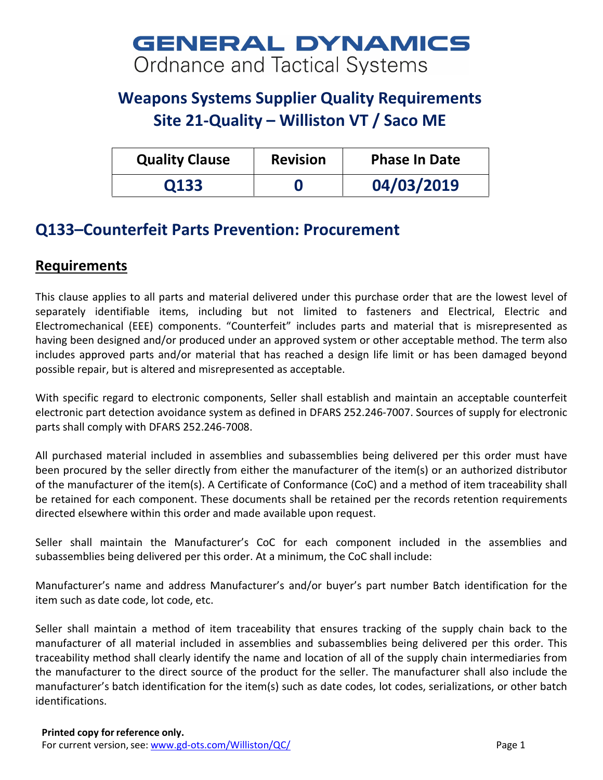# **GENERAL DYNAMICS** Ordnance and Tactical Systems

## **Weapons Systems Supplier Quality Requirements Site 21-Quality – Williston VT / Saco ME**

| <b>Quality Clause</b> | <b>Revision</b> | <b>Phase In Date</b> |
|-----------------------|-----------------|----------------------|
| 0133                  |                 | 04/03/2019           |

## **Q133–Counterfeit Parts Prevention: Procurement**

### **Requirements**

This clause applies to all parts and material delivered under this purchase order that are the lowest level of separately identifiable items, including but not limited to fasteners and Electrical, Electric and Electromechanical (EEE) components. "Counterfeit" includes parts and material that is misrepresented as having been designed and/or produced under an approved system or other acceptable method. The term also includes approved parts and/or material that has reached a design life limit or has been damaged beyond possible repair, but is altered and misrepresented as acceptable.

With specific regard to electronic components, Seller shall establish and maintain an acceptable counterfeit electronic part detection avoidance system as defined in DFARS 252.246-7007. Sources of supply for electronic parts shall comply with DFARS 252.246-7008.

All purchased material included in assemblies and subassemblies being delivered per this order must have been procured by the seller directly from either the manufacturer of the item(s) or an authorized distributor of the manufacturer of the item(s). A Certificate of Conformance (CoC) and a method of item traceability shall be retained for each component. These documents shall be retained per the records retention requirements directed elsewhere within this order and made available upon request.

Seller shall maintain the Manufacturer's CoC for each component included in the assemblies and subassemblies being delivered per this order. At a minimum, the CoC shall include:

Manufacturer's name and address Manufacturer's and/or buyer's part number Batch identification for the item such as date code, lot code, etc.

Seller shall maintain a method of item traceability that ensures tracking of the supply chain back to the manufacturer of all material included in assemblies and subassemblies being delivered per this order. This traceability method shall clearly identify the name and location of all of the supply chain intermediaries from the manufacturer to the direct source of the product for the seller. The manufacturer shall also include the manufacturer's batch identification for the item(s) such as date codes, lot codes, serializations, or other batch identifications.